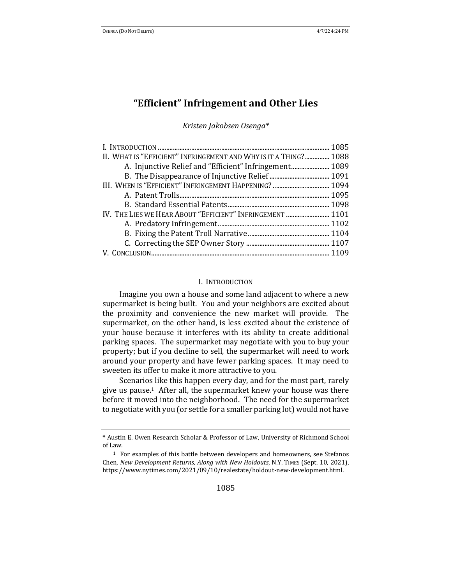# **"Efficient" Infringement and Other Lies**

*Kristen Jakobsen Osenga\**

| II. WHAT IS "EFFICIENT" INFRINGEMENT AND WHY IS IT A THING? 1088 |  |
|------------------------------------------------------------------|--|
| A. Injunctive Relief and "Efficient" Infringement 1089           |  |
|                                                                  |  |
|                                                                  |  |
|                                                                  |  |
|                                                                  |  |
| IV. THE LIES WE HEAR ABOUT "EFFICIENT" INFRINGEMENT  1101        |  |
|                                                                  |  |
|                                                                  |  |
|                                                                  |  |
|                                                                  |  |

#### I. INTRODUCTION

Imagine you own a house and some land adjacent to where a new supermarket is being built. You and your neighbors are excited about the proximity and convenience the new market will provide. The supermarket, on the other hand, is less excited about the existence of your house because it interferes with its ability to create additional parking spaces. The supermarket may negotiate with you to buy your property; but if you decline to sell, the supermarket will need to work around your property and have fewer parking spaces. It may need to sweeten its offer to make it more attractive to you.

Scenarios like this happen every day, and for the most part, rarely give us pause.<sup>1</sup> After all, the supermarket knew your house was there before it moved into the neighborhood. The need for the supermarket to negotiate with you (or settle for a smaller parking lot) would not have

**<sup>\*</sup>** Austin E. Owen Research Scholar & Professor of Law, University of Richmond School of Law.

 $1$  For examples of this battle between developers and homeowners, see Stefanos Chen, *New Development Returns, Along with New Holdouts*, N.Y. TIMES (Sept. 10, 2021), https://www.nytimes.com/2021/09/10/realestate/holdout-new-development.html.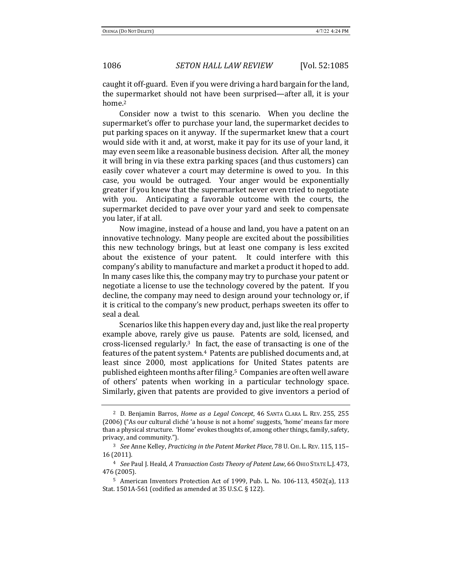caught it off-guard. Even if you were driving a hard bargain for the land, the supermarket should not have been surprised—after all, it is your home.2

Consider now a twist to this scenario. When you decline the supermarket's offer to purchase your land, the supermarket decides to put parking spaces on it anyway. If the supermarket knew that a court would side with it and, at worst, make it pay for its use of your land, it may even seem like a reasonable business decision. After all, the money it will bring in via these extra parking spaces (and thus customers) can easily cover whatever a court may determine is owed to you. In this case, you would be outraged. Your anger would be exponentially greater if you knew that the supermarket never even tried to negotiate with you. Anticipating a favorable outcome with the courts, the supermarket decided to pave over your yard and seek to compensate you later, if at all.

Now imagine, instead of a house and land, you have a patent on an innovative technology. Many people are excited about the possibilities this new technology brings, but at least one company is less excited about the existence of your patent. It could interfere with this company's ability to manufacture and market a product it hoped to add. In many cases like this, the company may try to purchase your patent or negotiate a license to use the technology covered by the patent. If you decline, the company may need to design around your technology or, if it is critical to the company's new product, perhaps sweeten its offer to seal a deal.

Scenarios like this happen every day and, just like the real property example above, rarely give us pause. Patents are sold, licensed, and cross-licensed regularly.<sup>3</sup> In fact, the ease of transacting is one of the features of the patent system.<sup>4</sup> Patents are published documents and, at least since 2000, most applications for United States patents are published eighteen months after filing.<sup>5</sup> Companies are often well aware of others' patents when working in a particular technology space. Similarly, given that patents are provided to give inventors a period of

<sup>&</sup>lt;sup>2</sup> D. Benjamin Barros, *Home as a Legal Concept*, 46 SANTA CLARA L. REV. 255, 255 (2006) ("As our cultural cliché 'a house is not a home' suggests, 'home' means far more than a physical structure. 'Home' evokes thoughts of, among other things, family, safety, privacy, and community.").

<sup>&</sup>lt;sup>3</sup> See Anne Kelley, Practicing in the Patent Market Place, 78 U. CHI. L. REV. 115, 115-16 (2011).

<sup>&</sup>lt;sup>4</sup> *See Paul J. Heald, A Transaction Costs Theory of Patent Law, 66 OHIO STATE L.J. 473,* 476 (2005).

 $5$  American Inventors Protection Act of 1999, Pub. L. No. 106-113, 4502(a), 113 Stat. 1501A-561 (codified as amended at  $35$  U.S.C. § 122).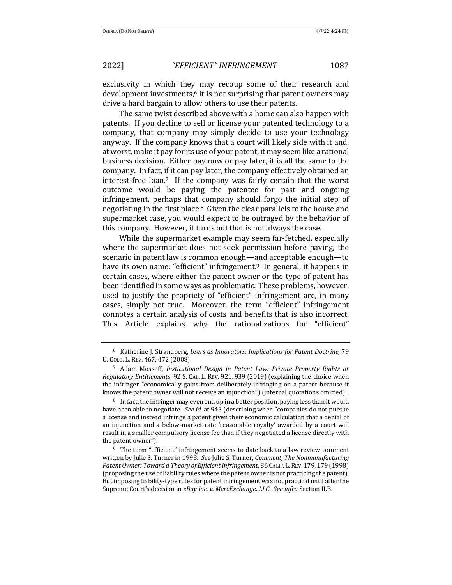exclusivity in which they may recoup some of their research and development investments, $6$  it is not surprising that patent owners may drive a hard bargain to allow others to use their patents.

The same twist described above with a home can also happen with patents. If you decline to sell or license your patented technology to a company, that company may simply decide to use your technology anyway. If the company knows that a court will likely side with it and, at worst, make it pay for its use of your patent, it may seem like a rational business decision. Either pay now or pay later, it is all the same to the company. In fact, if it can pay later, the company effectively obtained an  $interest-free loan.7$  If the company was fairly certain that the worst outcome would be paying the patentee for past and ongoing infringement, perhaps that company should forgo the initial step of negotiating in the first place. $8$  Given the clear parallels to the house and supermarket case, you would expect to be outraged by the behavior of this company. However, it turns out that is not always the case.

While the supermarket example may seem far-fetched, especially where the supermarket does not seek permission before paving, the scenario in patent law is common enough—and acceptable enough—to have its own name: "efficient" infringement. In general, it happens in certain cases, where either the patent owner or the type of patent has been identified in some ways as problematic. These problems, however, used to justify the propriety of "efficient" infringement are, in many cases, simply not true. Moreover, the term "efficient" infringement connotes a certain analysis of costs and benefits that is also incorrect. This Article explains why the rationalizations for "efficient"

<sup>&</sup>lt;sup>6</sup> Katherine J. Strandberg, *Users as Innovators: Implications for Patent Doctrine*, 79 U. COLO. L. REV. 467, 472 (2008).

<sup>&</sup>lt;sup>7</sup> Adam Mossoff, *Institutional Design in Patent Law: Private Property Rights or Regulatory Entitlements*, 92 S. CAL. L. REV. 921, 939 (2019) (explaining the choice when the infringer "economically gains from deliberately infringing on a patent because it knows the patent owner will not receive an injunction") (internal quotations omitted).

 $8\;$  In fact, the infringer may even end up in a better position, paying less than it would have been able to negotiate. *See id.* at 943 (describing when "companies do not pursue a license and instead infringe a patent given their economic calculation that a denial of an injunction and a below-market-rate 'reasonable royalty' awarded by a court will result in a smaller compulsory license fee than if they negotiated a license directly with the patent owner").

 $9$  The term "efficient" infringement seems to date back to a law review comment written by Julie S. Turner in 1998. See Julie S. Turner, Comment, The Nonmanufacturing Patent Owner: Toward a Theory of Efficient Infringement, 86 CALIF. L. REV. 179, 179 (1998) (proposing the use of liability rules where the patent owner is not practicing the patent). But imposing liability-type rules for patent infringement was not practical until after the Supreme Court's decision in eBay Inc. v. MercExchange, LLC. See infra Section II.B.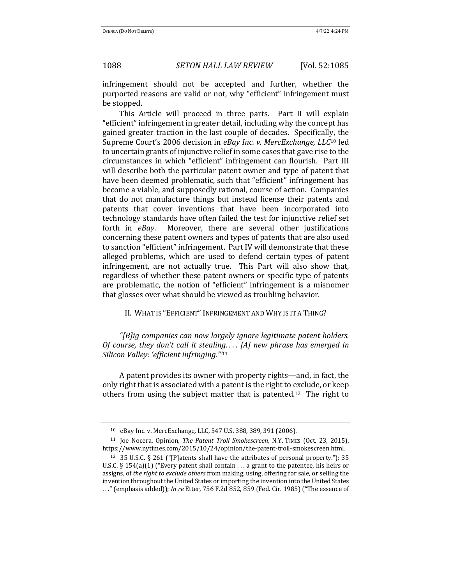infringement should not be accepted and further, whether the purported reasons are valid or not, why "efficient" infringement must be stopped.

This Article will proceed in three parts. Part II will explain "efficient" infringement in greater detail, including why the concept has gained greater traction in the last couple of decades. Specifically, the Supreme Court's 2006 decision in eBay Inc. v. MercExchange, LLC<sup>10</sup> led to uncertain grants of injunctive relief in some cases that gave rise to the circumstances in which "efficient" infringement can flourish. Part III will describe both the particular patent owner and type of patent that have been deemed problematic, such that "efficient" infringement has become a viable, and supposedly rational, course of action. Companies that do not manufacture things but instead license their patents and patents that cover inventions that have been incorporated into technology standards have often failed the test for injunctive relief set forth in *eBay*. Moreover, there are several other justifications concerning these patent owners and types of patents that are also used to sanction "efficient" infringement. Part IV will demonstrate that these alleged problems, which are used to defend certain types of patent infringement, are not actually true. This Part will also show that, regardless of whether these patent owners or specific type of patents are problematic, the notion of "efficient" infringement is a misnomer that glosses over what should be viewed as troubling behavior.

II. WHAT IS "EFFICIENT" INFRINGEMENT AND WHY IS IT A THING?

*"[B]ig companies can now largely ignore legitimate patent holders. Of course, they don't call it stealing....* [A] new phrase has emerged in *Silicon Valley: 'efficient infringing.'"*<sup>11</sup>

A patent provides its owner with property rights—and, in fact, the only right that is associated with a patent is the right to exclude, or keep others from using the subject matter that is patented.<sup>12</sup> The right to

<sup>10</sup> eBay Inc. v. MercExchange*,* LLC, 547 U.S. 388, 389, 391 (2006).

<sup>&</sup>lt;sup>11</sup> Joe Nocera, Opinion, *The Patent Troll Smokescreen*, N.Y. TIMES (Oct. 23, 2015), https://www.nytimes.com/2015/10/24/opinion/the-patent-troll-smokescreen.html.

<sup>&</sup>lt;sup>12</sup> 35 U.S.C. § 261 ("[P]atents shall have the attributes of personal property."); 35 U.S.C.  $\S$  154(a)(1) ("Every patent shall contain ... a grant to the patentee, his heirs or assigns, of *the right to exclude others* from making, using, offering for sale, or selling the invention throughout the United States or importing the invention into the United States ..." (emphasis added)); *In re* Etter, 756 F.2d 852, 859 (Fed. Cir. 1985) ("The essence of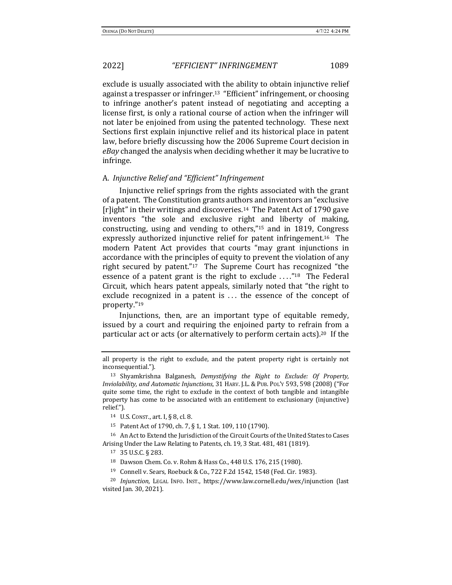exclude is usually associated with the ability to obtain injunctive relief against a trespasser or infringer.<sup>13</sup> "Efficient" infringement, or choosing to infringe another's patent instead of negotiating and accepting a license first, is only a rational course of action when the infringer will not later be enjoined from using the patented technology. These next Sections first explain injunctive relief and its historical place in patent law, before briefly discussing how the 2006 Supreme Court decision in *eBay* changed the analysis when deciding whether it may be lucrative to infringe. 

#### A. *Injunctive Relief and "Efficient" Infringement*

Injunctive relief springs from the rights associated with the grant of a patent. The Constitution grants authors and inventors an "exclusive [r]ight" in their writings and discoveries.<sup>14</sup> The Patent Act of 1790 gave inventors "the sole and exclusive right and liberty of making, constructing, using and vending to others," $15$  and in 1819, Congress expressly authorized injunctive relief for patent infringement.<sup>16</sup> The modern Patent Act provides that courts "may grant injunctions in accordance with the principles of equity to prevent the violation of any right secured by patent." $17$  The Supreme Court has recognized "the essence of a patent grant is the right to exclude  $\ldots$ "<sup>18</sup> The Federal Circuit, which hears patent appeals, similarly noted that "the right to exclude recognized in a patent is  $\ldots$  the essence of the concept of property."19

Injunctions, then, are an important type of equitable remedy, issued by a court and requiring the enjoined party to refrain from a particular act or acts (or alternatively to perform certain acts).<sup>20</sup> If the

<sup>16</sup> An Act to Extend the Jurisdiction of the Circuit Courts of the United States to Cases Arising Under the Law Relating to Patents, ch. 19, 3 Stat. 481, 481 (1819).

<sup>18</sup> Dawson Chem. Co. v. Rohm & Hass Co., 448 U.S. 176, 215 (1980).

all property is the right to exclude, and the patent property right is certainly not inconsequential.").

<sup>&</sup>lt;sup>13</sup> Shyamkrishna Balganesh, *Demystifying the Right to Exclude: Of Property, Inviolability, and Automatic Injunctions*, 31 HARV. J.L. & PUB. PoL'Y 593, 598 (2008) ("For quite some time, the right to exclude in the context of both tangible and intangible property has come to be associated with an entitlement to exclusionary (injunctive) relief.").

<sup>14</sup> U.S. CONST., art. I,  $\S 8$ , cl. 8.

<sup>&</sup>lt;sup>15</sup> Patent Act of 1790, ch. 7, § 1, 1 Stat. 109, 110 (1790).

<sup>17</sup> 35 U.S.C. § 283.

<sup>&</sup>lt;sup>19</sup> Connell v. Sears, Roebuck & Co., 722 F.2d 1542, 1548 (Fed. Cir. 1983).

<sup>&</sup>lt;sup>20</sup> *Injunction*, LEGAL INFO. INST., https://www.law.cornell.edu/wex/injunction (last visited Jan. 30, 2021).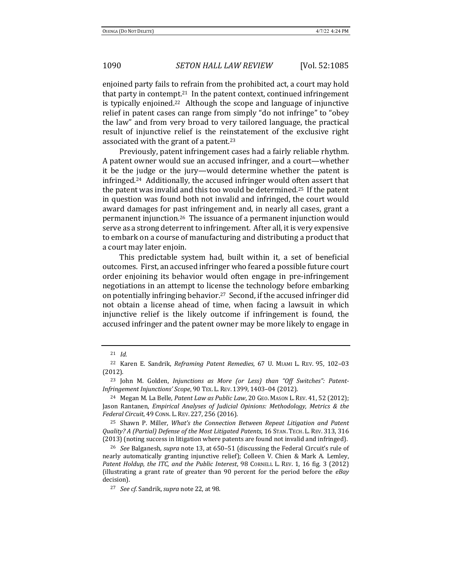enjoined party fails to refrain from the prohibited act, a court may hold that party in contempt.<sup>21</sup> In the patent context, continued infringement is typically enjoined.<sup>22</sup> Although the scope and language of injunctive relief in patent cases can range from simply "do not infringe" to "obey the law" and from very broad to very tailored language, the practical result of injunctive relief is the reinstatement of the exclusive right associated with the grant of a patent.<sup>23</sup>

Previously, patent infringement cases had a fairly reliable rhythm. A patent owner would sue an accused infringer, and a court—whether it be the judge or the jury—would determine whether the patent is infringed.<sup>24</sup> Additionally, the accused infringer would often assert that the patent was invalid and this too would be determined.<sup>25</sup> If the patent in question was found both not invalid and infringed, the court would award damages for past infringement and, in nearly all cases, grant a permanent injunction.<sup>26</sup> The issuance of a permanent injunction would serve as a strong deterrent to infringement. After all, it is very expensive to embark on a course of manufacturing and distributing a product that a court may later enjoin.

This predictable system had, built within it, a set of beneficial outcomes. First, an accused infringer who feared a possible future court order enjoining its behavior would often engage in pre-infringement negotiations in an attempt to license the technology before embarking on potentially infringing behavior.<sup>27</sup> Second, if the accused infringer did not obtain a license ahead of time, when facing a lawsuit in which injunctive relief is the likely outcome if infringement is found, the accused infringer and the patent owner may be more likely to engage in

<sup>21</sup> *Id.*

<sup>&</sup>lt;sup>22</sup> Karen E. Sandrik, *Reframing Patent Remedies*, 67 U. MIAMI L. REV. 95, 102-03 (2012).

<sup>&</sup>lt;sup>23</sup> John M. Golden, *Injunctions as More (or Less) than "Off Switches": Patent-Infringement Injunctions' Scope,* 90 TEX. L. REV. 1399, 1403-04 (2012).

<sup>&</sup>lt;sup>24</sup> Megan M. La Belle, *Patent Law as Public Law*, 20 GEO. MASON L. REV. 41, 52 (2012); Jason Rantanen, *Empirical Analyses of Judicial Opinions: Methodology, Metrics & the Federal Circuit*, 49 CONN. L. REV. 227, 256 (2016).

<sup>&</sup>lt;sup>25</sup> Shawn P. Miller, *What's the Connection Between Repeat Litigation and Patent Quality?* A (Partial) Defense of the Most Litigated Patents, 16 STAN. TECH. L. REV. 313, 316 (2013) (noting success in litigation where patents are found not invalid and infringed).

<sup>&</sup>lt;sup>26</sup> *See* Balganesh, *supra* note 13, at 650–51 (discussing the Federal Circuit's rule of nearly automatically granting injunctive relief); Colleen V. Chien & Mark A. Lemley, *Patent Holdup, the ITC, and the Public Interest,* 98 CORNELL L. REV. 1, 16 fig. 3 (2012) (illustrating a grant rate of greater than 90 percent for the period before the *eBay* decision).

<sup>&</sup>lt;sup>27</sup> *See cf.* Sandrik, *supra* note 22, at 98.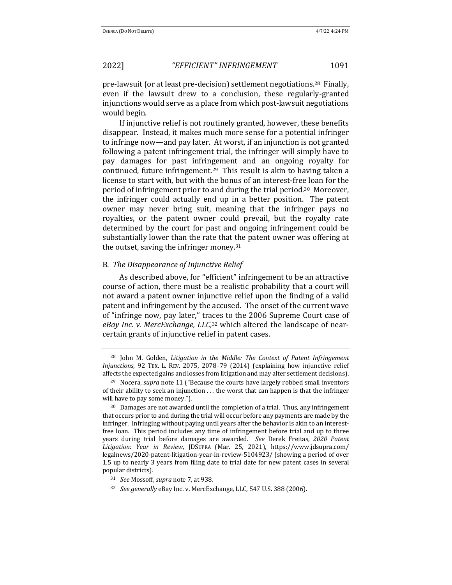pre-lawsuit (or at least pre-decision) settlement negotiations.<sup>28</sup> Finally, even if the lawsuit drew to a conclusion, these regularly-granted injunctions would serve as a place from which post-lawsuit negotiations would begin.

If injunctive relief is not routinely granted, however, these benefits disappear. Instead, it makes much more sense for a potential infringer to infringe now—and pay later. At worst, if an injunction is not granted following a patent infringement trial, the infringer will simply have to pay damages for past infringement and an ongoing royalty for continued, future infringement.<sup>29</sup> This result is akin to having taken a license to start with, but with the bonus of an interest-free loan for the period of infringement prior to and during the trial period.<sup>30</sup> Moreover, the infringer could actually end up in a better position. The patent owner may never bring suit, meaning that the infringer pays no royalties, or the patent owner could prevail, but the royalty rate determined by the court for past and ongoing infringement could be substantially lower than the rate that the patent owner was offering at the outset, saving the infringer money. $31$ 

### B. *The Disappearance of Injunctive Relief*

As described above, for "efficient" infringement to be an attractive course of action, there must be a realistic probability that a court will not award a patent owner injunctive relief upon the finding of a valid patent and infringement by the accused. The onset of the current wave of "infringe now, pay later," traces to the 2006 Supreme Court case of eBay Inc. v. MercExchange, LLC,<sup>32</sup> which altered the landscape of nearcertain grants of injunctive relief in patent cases.

<sup>&</sup>lt;sup>28</sup> John M. Golden, *Litigation in the Middle: The Context of Patent Infringement Injunctions*, 92 TEX. L. REV. 2075, 2078-79 (2014) (explaining how injunctive relief affects the expected gains and losses from litigation and may alter settlement decisions).

<sup>&</sup>lt;sup>29</sup> Nocera, *supra* note 11 ("Because the courts have largely robbed small inventors of their ability to seek an injunction ... the worst that can happen is that the infringer will have to pay some money.").

 $30$  Damages are not awarded until the completion of a trial. Thus, any infringement that occurs prior to and during the trial will occur before any payments are made by the infringer. Infringing without paying until years after the behavior is akin to an interestfree loan. This period includes any time of infringement before trial and up to three years during trial before damages are awarded. See Derek Freitas, 2020 Patent *Litigation: Year in Review*, JDSUPRA (Mar. 25, 2021), https://www.jdsupra.com/ legalnews/2020-patent-litigation-year-in-review-5104923/ (showing a period of over 1.5 up to nearly 3 years from filing date to trial date for new patent cases in several popular districts).

<sup>31</sup> *See* Mossoff, *supra* note 7, at 938.

<sup>&</sup>lt;sup>32</sup> *See generally* eBay Inc. v. MercExchange, LLC, 547 U.S. 388 (2006).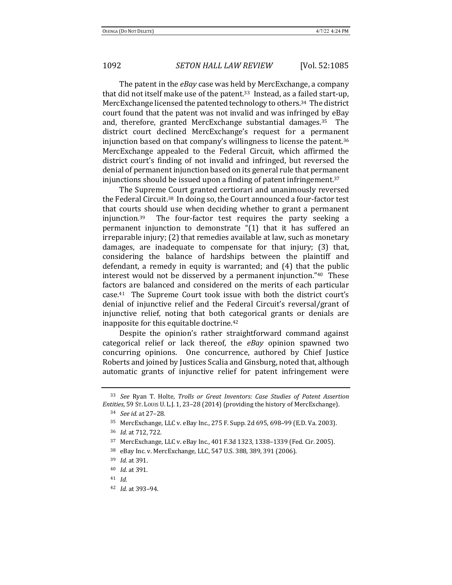The patent in the *eBay* case was held by MercExchange, a company that did not itself make use of the patent.<sup>33</sup> Instead, as a failed start-up, MercExchange licensed the patented technology to others.<sup>34</sup> The district court found that the patent was not invalid and was infringed by eBay and, therefore, granted MercExchange substantial damages.<sup>35</sup> The district court declined MercExchange's request for a permanent injunction based on that company's willingness to license the patent.<sup>36</sup> MercExchange appealed to the Federal Circuit, which affirmed the district court's finding of not invalid and infringed, but reversed the denial of permanent injunction based on its general rule that permanent injunctions should be issued upon a finding of patent infringement.<sup>37</sup>

The Supreme Court granted certiorari and unanimously reversed the Federal Circuit.<sup>38</sup> In doing so, the Court announced a four-factor test that courts should use when deciding whether to grant a permanent injunction.<sup>39</sup> The four-factor test requires the party seeking a permanent injunction to demonstrate  $(1)$  that it has suffered an  $i$ rreparable  $i$ njury;  $(2)$  that remedies available at law, such as monetary damages, are inadequate to compensate for that injury; (3) that, considering the balance of hardships between the plaintiff and defendant, a remedy in equity is warranted; and  $(4)$  that the public interest would not be disserved by a permanent injunction." $40$  These factors are balanced and considered on the merits of each particular case. $41$  The Supreme Court took issue with both the district court's denial of injunctive relief and the Federal Circuit's reversal/grant of injunctive relief, noting that both categorical grants or denials are inapposite for this equitable doctrine. $42$ 

Despite the opinion's rather straightforward command against categorical relief or lack thereof, the eBay opinion spawned two concurring opinions. One concurrence, authored by Chief Justice Roberts and joined by Justices Scalia and Ginsburg, noted that, although automatic grants of injunctive relief for patent infringement were

<sup>&</sup>lt;sup>33</sup> See Ryan T. Holte, *Trolls or Great Inventors: Case Studies of Patent Assertion Entities*, 59 Sr. Louis U. L.J. 1, 23-28 (2014) (providing the history of MercExchange).

<sup>34</sup> *See id.* at 27–28*.*

<sup>35</sup> MercExchange, LLC v. eBay Inc., 275 F. Supp. 2d 695, 698-99 (E.D. Va. 2003).

<sup>36</sup> *Id.* at 712, 722.

<sup>37</sup> MercExchange, LLC v. eBay Inc., 401 F.3d 1323, 1338-1339 (Fed. Cir. 2005).

<sup>&</sup>lt;sup>38</sup> eBay Inc. v. MercExchange, LLC, 547 U.S. 388, 389, 391 (2006).

<sup>39</sup> *Id.* at 391.

<sup>40</sup> *Id.* at 391*.*

<sup>41</sup> *Id.*

<sup>42</sup> *Id.* at 393-94.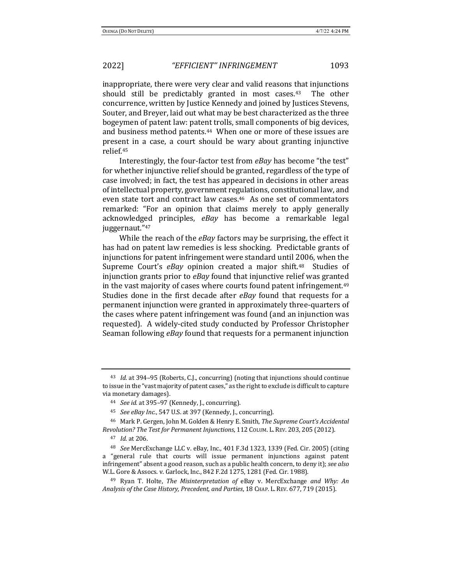inappropriate, there were very clear and valid reasons that injunctions should still be predictably granted in most cases. $43$  The other concurrence, written by Justice Kennedy and joined by Justices Stevens, Souter, and Breyer, laid out what may be best characterized as the three bogeymen of patent law: patent trolls, small components of big devices, and business method patents.<sup>44</sup> When one or more of these issues are present in a case, a court should be wary about granting injunctive relief.45

Interestingly, the four-factor test from *eBay* has become "the test" for whether injunctive relief should be granted, regardless of the type of case involved; in fact, the test has appeared in decisions in other areas of intellectual property, government regulations, constitutional law, and even state tort and contract law cases.<sup>46</sup> As one set of commentators remarked: "For an opinion that claims merely to apply generally acknowledged principles, eBay has become a remarkable legal juggernaut."47 

While the reach of the *eBay* factors may be surprising, the effect it has had on patent law remedies is less shocking. Predictable grants of injunctions for patent infringement were standard until 2006, when the Supreme Court's *eBay* opinion created a major shift.<sup>48</sup> Studies of injunction grants prior to eBay found that injunctive relief was granted in the vast majority of cases where courts found patent infringement.<sup>49</sup> Studies done in the first decade after *eBay* found that requests for a permanent injunction were granted in approximately three-quarters of the cases where patent infringement was found (and an injunction was requested). A widely-cited study conducted by Professor Christopher Seaman following *eBay* found that requests for a permanent injunction

<sup>&</sup>lt;sup>43</sup> *Id.* at 394-95 (Roberts, C.J., concurring) (noting that injunctions should continue to issue in the "vast majority of patent cases," as the right to exclude is difficult to capture via monetary damages).

<sup>44</sup> *See id.* at 395-97 (Kennedy, J., concurring).

<sup>&</sup>lt;sup>45</sup> *See eBay Inc.*, 547 U.S. at 397 (Kennedy, J., concurring).

<sup>&</sup>lt;sup>46</sup> Mark P. Gergen, John M. Golden & Henry E. Smith, *The Supreme Court's Accidental Revolution? The Test for Permanent Injunctions*, 112 COLUM. L. REV. 203, 205 (2012).

<sup>47</sup> *Id.* at 206.

<sup>&</sup>lt;sup>48</sup> *See* MercExchange LLC v. eBay, Inc., 401 F.3d 1323, 1339 (Fed. Cir. 2005) (citing a "general rule that courts will issue permanent injunctions against patent infringement" absent a good reason, such as a public health concern, to deny it); see also W.L. Gore & Assocs. v. Garlock, Inc., 842 F.2d 1275, 1281 (Fed. Cir. 1988).

<sup>&</sup>lt;sup>49</sup> Ryan T. Holte, *The Misinterpretation of* eBay v. MercExchange *and Why: An Analysis of the Case History, Precedent, and Parties, 18 CHAP. L. REV. 677, 719 (2015).*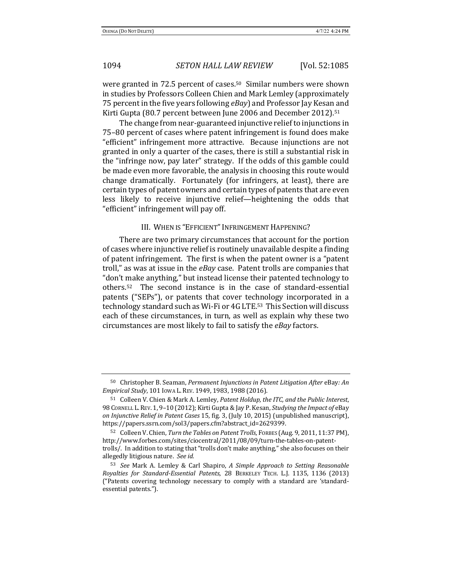were granted in 72.5 percent of cases.<sup>50</sup> Similar numbers were shown in studies by Professors Colleen Chien and Mark Lemley (approximately 75 percent in the five years following *eBay*) and Professor Jay Kesan and Kirti Gupta (80.7 percent between June 2006 and December 2012).<sup>51</sup>

The change from near-guaranteed injunctive relief to injunctions in 75–80 percent of cases where patent infringement is found does make "efficient" infringement more attractive. Because injunctions are not granted in only a quarter of the cases, there is still a substantial risk in the "infringe now, pay later" strategy. If the odds of this gamble could be made even more favorable, the analysis in choosing this route would change dramatically. Fortunately (for infringers, at least), there are certain types of patent owners and certain types of patents that are even less likely to receive injunctive relief—heightening the odds that "efficient" infringement will pay off.

## III. WHEN IS "EFFICIENT" INFRINGEMENT HAPPENING?

There are two primary circumstances that account for the portion of cases where injunctive relief is routinely unavailable despite a finding of patent infringement. The first is when the patent owner is a "patent" troll," as was at issue in the *eBay* case. Patent trolls are companies that "don't make anything," but instead license their patented technology to others.<sup>52</sup> The second instance is in the case of standard-essential patents ("SEPs"), or patents that cover technology incorporated in a technology standard such as Wi-Fi or 4G LTE.<sup>53</sup> This Section will discuss each of these circumstances, in turn, as well as explain why these two circumstances are most likely to fail to satisfy the *eBay* factors.

<sup>50</sup> Christopher B. Seaman, *Permanent Injunctions in Patent Litigation After* eBay: An *Empirical Study*, 101 IOWA L. REV. 1949, 1983, 1988 (2016).

<sup>51</sup> Colleen V. Chien & Mark A. Lemley, *Patent Holdup, the ITC, and the Public Interest*, 98 CORNELL L. REV. 1, 9-10 (2012); Kirti Gupta & Jay P. Kesan, *Studying the Impact of* eBay *on Injunctive Relief in Patent Cases* 15, fig. 3, (July 10, 2015) (unpublished manuscript), https://papers.ssrn.com/sol3/papers.cfm?abstract\_id=2629399.

<sup>52</sup> Colleen V. Chien, *Turn the Tables on Patent Trolls*, FORBES (Aug. 9, 2011, 11:37 PM), http://www.forbes.com/sites/ciocentral/2011/08/09/turn-the-tables-on-patenttrolls/. In addition to stating that "trolls don't make anything," she also focuses on their allegedly litigious nature. See id.

<sup>53</sup> *See* Mark A. Lemley & Carl Shapiro, A Simple Approach to Setting Reasonable *Royalties for Standard-Essential Patents*, 28 BERKELEY TECH. L.J. 1135, 1136 (2013) ("Patents covering technology necessary to comply with a standard are 'standardessential patents.").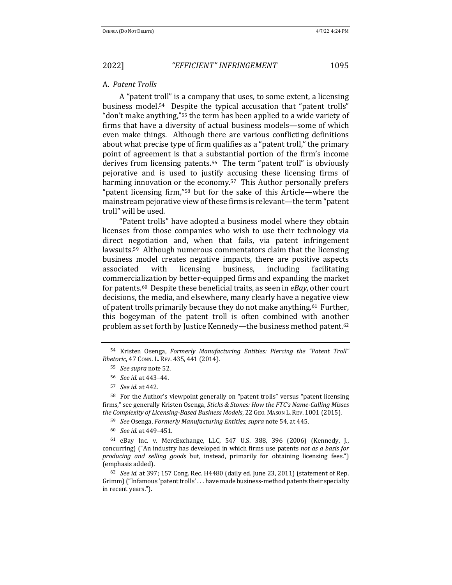#### A. *Patent Trolls*

A "patent troll" is a company that uses, to some extent, a licensing business model.<sup>54</sup> Despite the typical accusation that "patent trolls" "don't make anything,"<sup>55</sup> the term has been applied to a wide variety of firms that have a diversity of actual business models—some of which even make things. Although there are various conflicting definitions about what precise type of firm qualifies as a "patent troll," the primary point of agreement is that a substantial portion of the firm's income derives from licensing patents.<sup>56</sup> The term "patent troll" is obviously pejorative and is used to justify accusing these licensing firms of harming innovation or the economy.<sup>57</sup> This Author personally prefers "patent licensing firm,"<sup>58</sup> but for the sake of this Article—where the mainstream pejorative view of these firms is relevant—the term "patent" troll" will be used.

"Patent trolls" have adopted a business model where they obtain licenses from those companies who wish to use their technology via direct negotiation and, when that fails, via patent infringement lawsuits.<sup>59</sup> Although numerous commentators claim that the licensing business model creates negative impacts, there are positive aspects associated with licensing business, including facilitating commercialization by better-equipped firms and expanding the market for patents.<sup>60</sup> Despite these beneficial traits, as seen in *eBay*, other court decisions, the media, and elsewhere, many clearly have a negative view of patent trolls primarily because they do not make anything.<sup>61</sup> Further, this bogeyman of the patent troll is often combined with another problem as set forth by Justice Kennedy—the business method patent.<sup>62</sup>

<sup>54</sup> Kristen Osenga, *Formerly Manufacturing Entities: Piercing the "Patent Troll" Rhetoric*, 47 CONN. L. REV. 435, 441 (2014).

<sup>55</sup> *See supra* note 52.

<sup>56</sup> *See id.* at 443–44.

<sup>57</sup> *See id.* at 442.

<sup>58</sup> For the Author's viewpoint generally on "patent trolls" versus "patent licensing firms," see generally Kristen Osenga, *Sticks & Stones: How the FTC's Name-Calling Misses the Complexity of Licensing-Based Business Models*, 22 GEO. MASON L. REV. 1001 (2015).

<sup>59</sup> *See* Osenga, *Formerly Manufacturing Entities, supra* note 54, at 445.

<sup>60</sup> *See id.* at 449–451.

 $61$  eBay Inc. v. MercExchange, LLC, 547 U.S. 388, 396 (2006) (Kennedy, J., concurring) ("An industry has developed in which firms use patents *not as a basis for producing and selling goods* but, instead, primarily for obtaining licensing fees.") (emphasis added).

 $62$  *See id.* at 397; 157 Cong. Rec. H4480 (daily ed. June 23, 2011) (statement of Rep. Grimm) ("Infamous 'patent trolls' ... have made business-method patents their specialty in recent years.").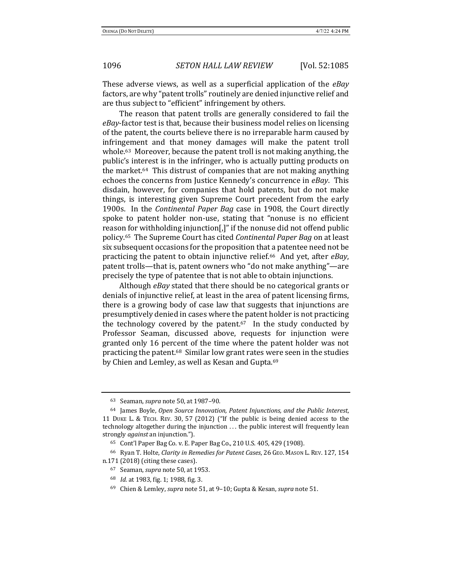These adverse views, as well as a superficial application of the *eBay* factors, are why "patent trolls" routinely are denied injunctive relief and are thus subject to "efficient" infringement by others.

The reason that patent trolls are generally considered to fail the *eBay*-factor test is that, because their business model relies on licensing of the patent, the courts believe there is no irreparable harm caused by infringement and that money damages will make the patent troll whole. $63$  Moreover, because the patent troll is not making anything, the public's interest is in the infringer, who is actually putting products on the market.<sup>64</sup> This distrust of companies that are not making anything echoes the concerns from Justice Kennedy's concurrence in *eBay*. This disdain, however, for companies that hold patents, but do not make things, is interesting given Supreme Court precedent from the early 1900s. In the *Continental Paper Bag* case in 1908, the Court directly spoke to patent holder non-use, stating that "nonuse is no efficient reason for withholding injunction $\left[\right]$ " if the nonuse did not offend public policy.<sup>65</sup> The Supreme Court has cited *Continental Paper Bag* on at least six subsequent occasions for the proposition that a patentee need not be practicing the patent to obtain injunctive relief.<sup>66</sup> And yet, after *eBay*, patent trolls—that is, patent owners who "do not make anything"—are precisely the type of patentee that is not able to obtain injunctions.

Although *eBay* stated that there should be no categorical grants or denials of injunctive relief, at least in the area of patent licensing firms, there is a growing body of case law that suggests that injunctions are presumptively denied in cases where the patent holder is not practicing the technology covered by the patent.<sup>67</sup> In the study conducted by Professor Seaman, discussed above, requests for injunction were granted only 16 percent of the time where the patent holder was not practicing the patent.<sup>68</sup> Similar low grant rates were seen in the studies by Chien and Lemley, as well as Kesan and Gupta.<sup>69</sup>

<sup>63</sup> Seaman, *supra* note 50, at 1987-90.

<sup>&</sup>lt;sup>64</sup> James Boyle, *Open Source Innovation, Patent Injunctions, and the Public Interest,* 11 DUKE L. & TECH. REV. 30, 57 (2012) ("If the public is being denied access to the  $technology$  altogether during the injunction  $\dots$  the public interest will frequently lean strongly *against* an injunction.").

<sup>65</sup> Cont'l Paper Bag Co. v. E. Paper Bag Co., 210 U.S. 405, 429 (1908).

<sup>&</sup>lt;sup>66</sup> Ryan T. Holte, *Clarity in Remedies for Patent Cases*, 26 GEO. MASON L. REV. 127, 154 n.171 (2018) (citing these cases).

<sup>67</sup> Seaman, *supra* note 50, at 1953.

<sup>68</sup> *Id.* at 1983, fig. 1; 1988, fig. 3.

<sup>69</sup> Chien & Lemley, *supra* note 51, at 9–10; Gupta & Kesan, *supra* note 51.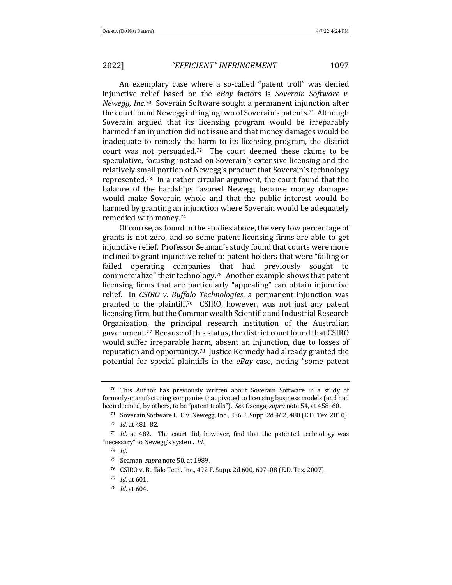An exemplary case where a so-called "patent troll" was denied injunctive relief based on the *eBay* factors is *Soverain Software v.* Newegg, Inc.<sup>70</sup> Soverain Software sought a permanent injunction after the court found Newegg infringing two of Soverain's patents.<sup>71</sup> Although Soverain argued that its licensing program would be irreparably harmed if an injunction did not issue and that money damages would be inadequate to remedy the harm to its licensing program, the district court was not persuaded.<sup>72</sup> The court deemed these claims to be speculative, focusing instead on Soverain's extensive licensing and the relatively small portion of Newegg's product that Soverain's technology represented.<sup>73</sup> In a rather circular argument, the court found that the balance of the hardships favored Newegg because money damages would make Soverain whole and that the public interest would be harmed by granting an injunction where Soverain would be adequately remedied with money.<sup>74</sup>

Of course, as found in the studies above, the very low percentage of grants is not zero, and so some patent licensing firms are able to get injunctive relief. Professor Seaman's study found that courts were more inclined to grant injunctive relief to patent holders that were "failing or failed operating companies that had previously sought to commercialize" their technology.<sup>75</sup> Another example shows that patent licensing firms that are particularly "appealing" can obtain injunctive relief. In *CSIRO v. Buffalo Technologies*, a permanent injunction was granted to the plaintiff.<sup>76</sup> CSIRO, however, was not just any patent licensing firm, but the Commonwealth Scientific and Industrial Research Organization, the principal research institution of the Australian government.<sup>77</sup> Because of this status, the district court found that CSIRO would suffer irreparable harm, absent an injunction, due to losses of reputation and opportunity.<sup>78</sup> Justice Kennedy had already granted the potential for special plaintiffs in the *eBay* case, noting "some patent

 $70$  This Author has previously written about Soverain Software in a study of formerly-manufacturing companies that pivoted to licensing business models (and had been deemed, by others, to be "patent trolls"). See Osenga, supra note 54, at 458-60.

<sup>&</sup>lt;sup>71</sup> Soverain Software LLC v. Newegg, Inc., 836 F. Supp. 2d 462, 480 (E.D. Tex. 2010). 72 *Id.* at 481-82.

<sup>73</sup> *Id.* at 482. The court did, however, find that the patented technology was "necessary" to Newegg's system. *Id.* 

<sup>74</sup> *Id.*

<sup>&</sup>lt;sup>75</sup> Seaman, *supra* note 50, at 1989.

<sup>&</sup>lt;sup>76</sup> CSIRO v. Buffalo Tech. Inc., 492 F. Supp. 2d 600, 607-08 (E.D. Tex. 2007).

<sup>77</sup> *Id.* at 601.

 $78$  *Id.* at  $604$ .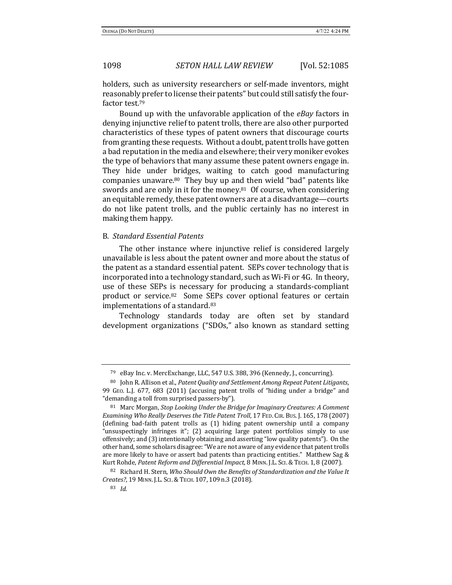holders, such as university researchers or self-made inventors, might reasonably prefer to license their patents" but could still satisfy the fourfactor test.<sup>79</sup>

Bound up with the unfavorable application of the *eBay* factors in denying injunctive relief to patent trolls, there are also other purported characteristics of these types of patent owners that discourage courts from granting these requests. Without a doubt, patent trolls have gotten a bad reputation in the media and elsewhere; their very moniker evokes the type of behaviors that many assume these patent owners engage in. They hide under bridges, waiting to catch good manufacturing companies unaware.<sup>80</sup> They buy up and then wield "bad" patents like swords and are only in it for the money.<sup>81</sup> Of course, when considering an equitable remedy, these patent owners are at a disadvantage—courts do not like patent trolls, and the public certainly has no interest in making them happy.

### B. *Standard Essential Patents*

The other instance where injunctive relief is considered largely unavailable is less about the patent owner and more about the status of the patent as a standard essential patent. SEPs cover technology that is incorporated into a technology standard, such as Wi-Fi or 4G. In theory, use of these SEPs is necessary for producing a standards-compliant product or service.<sup>82</sup> Some SEPs cover optional features or certain implementations of a standard.<sup>83</sup>

Technology standards today are often set by standard development organizations ("SDOs," also known as standard setting

<sup>&</sup>lt;sup>79</sup> eBay Inc. v. MercExchange, LLC, 547 U.S. 388, 396 (Kennedy, J., concurring).

<sup>80</sup> John R. Allison et al., *Patent Quality and Settlement Among Repeat Patent Litigants*, 99 GEO. L.J. 677, 683 (2011) (accusing patent trolls of "hiding under a bridge" and "demanding a toll from surprised passers-by").

<sup>&</sup>lt;sup>81</sup> Marc Morgan, *Stop Looking Under the Bridge for Imaginary Creatures: A Comment Examining Who Really Deserves the Title Patent Troll*, 17 FED. CIR. Bus. J. 165, 178 (2007) (defining bad-faith patent trolls as (1) hiding patent ownership until a company "unsuspectingly infringes it";  $(2)$  acquiring large patent portfolios simply to use offensively; and (3) intentionally obtaining and asserting "low quality patents"). On the other hand, some scholars disagree: "We are not aware of any evidence that patent trolls are more likely to have or assert bad patents than practicing entities." Matthew Sag & Kurt Rohde, Patent Reform and Differential Impact, 8 MINN. J.L. ScI. & TECH. 1, 8 (2007).

<sup>82</sup> Richard H. Stern, *Who Should Own the Benefits of Standardization and the Value It Creates?*, 19 MINN. J.L. SCI.&TECH. 107, 109 n.3 (2018).

<sup>83</sup> *Id.*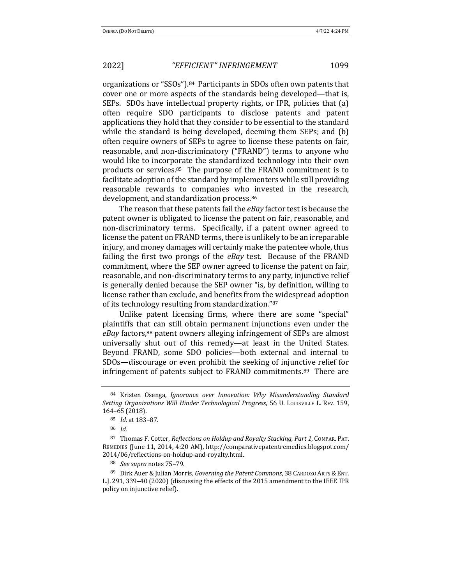organizations or "SSOs").<sup>84</sup> Participants in SDOs often own patents that cover one or more aspects of the standards being developed—that is, SEPs. SDOs have intellectual property rights, or IPR, policies that (a) often require SDO participants to disclose patents and patent applications they hold that they consider to be essential to the standard while the standard is being developed, deeming them SEPs; and  $(b)$ often require owners of SEPs to agree to license these patents on fair, reasonable, and non-discriminatory ("FRAND") terms to anyone who would like to incorporate the standardized technology into their own products or services. $85$  The purpose of the FRAND commitment is to facilitate adoption of the standard by implementers while still providing reasonable rewards to companies who invested in the research, development, and standardization process.<sup>86</sup>

The reason that these patents fail the *eBay* factor test is because the patent owner is obligated to license the patent on fair, reasonable, and non-discriminatory terms. Specifically, if a patent owner agreed to license the patent on FRAND terms, there is unlikely to be an irreparable injury, and money damages will certainly make the patentee whole, thus failing the first two prongs of the *eBay* test. Because of the FRAND commitment, where the SEP owner agreed to license the patent on fair, reasonable, and non-discriminatory terms to any party, injunctive relief is generally denied because the SEP owner "is, by definition, willing to license rather than exclude, and benefits from the widespread adoption of its technology resulting from standardization."87

Unlike patent licensing firms, where there are some "special" plaintiffs that can still obtain permanent injunctions even under the *eBay* factors,<sup>88</sup> patent owners alleging infringement of SEPs are almost universally shut out of this remedy—at least in the United States. Beyond FRAND, some SDO policies—both external and internal to SDOs—discourage or even prohibit the seeking of injunctive relief for infringement of patents subject to FRAND commitments.<sup>89</sup> There are

<sup>84</sup> Kristen Osenga, *Ignorance over Innovation: Why Misunderstanding Standard* Setting Organizations Will Hinder Technological Progress, 56 U. Louisville L. Rev. 159, 164–65 (2018).

<sup>85</sup> *Id.* at 183-87.

<sup>86</sup> *Id.*

<sup>87</sup> Thomas F. Cotter, *Reflections on Holdup and Royalty Stacking, Part 1*, Compara, Part. REMEDIES (June 11, 2014, 4:20 AM), http://comparativepatentremedies.blogspot.com/ 2014/06/reflections-on-holdup-and-royalty.html. 

<sup>88</sup> *See supra* notes 75-79.

<sup>89</sup> Dirk Auer & Julian Morris, *Governing the Patent Commons*, 38 CARDOZO ARTS & ENT. L.J. 291, 339–40 (2020) (discussing the effects of the 2015 amendment to the IEEE IPR policy on injunctive relief).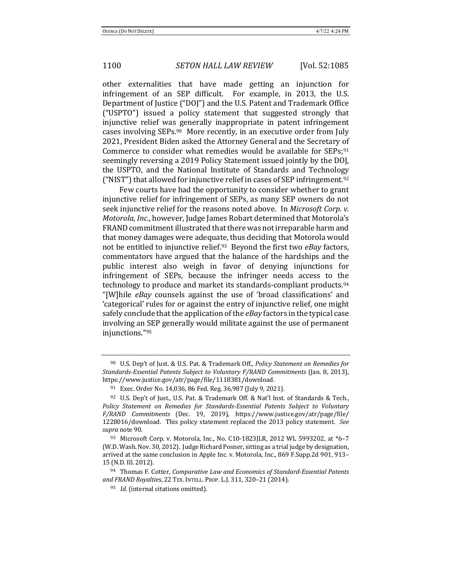other externalities that have made getting an injunction for infringement of an SEP difficult. For example, in 2013, the U.S. Department of Justice ("DOJ") and the U.S. Patent and Trademark Office ("USPTO") issued a policy statement that suggested strongly that injunctive relief was generally inappropriate in patent infringement cases involving  $SEPs$ .<sup>90</sup> More recently, in an executive order from July 2021, President Biden asked the Attorney General and the Secretary of Commerce to consider what remedies would be available for  $SEPs$ ;<sup>91</sup> seemingly reversing a 2019 Policy Statement issued jointly by the DOJ, the USPTO, and the National Institute of Standards and Technology ("NIST") that allowed for injunctive relief in cases of SEP infringement.<sup>92</sup>

Few courts have had the opportunity to consider whether to grant injunctive relief for infringement of SEPs, as many SEP owners do not seek injunctive relief for the reasons noted above. In *Microsoft Corp.* v. *Motorola, Inc.,* however, Judge James Robart determined that Motorola's FRAND commitment illustrated that there was not irreparable harm and that money damages were adequate, thus deciding that Motorola would not be entitled to injunctive relief.<sup>93</sup> Beyond the first two *eBay* factors, commentators have argued that the balance of the hardships and the public interest also weigh in favor of denying injunctions for infringement of SEPs, because the infringer needs access to the technology to produce and market its standards-compliant products.<sup>94</sup> "[W]hile *eBay* counsels against the use of 'broad classifications' and 'categorical' rules for or against the entry of injunctive relief, one might safely conclude that the application of the *eBay* factors in the typical case involving an SEP generally would militate against the use of permanent injunctions."95

<sup>94</sup> Thomas F. Cotter, *Comparative Law and Economics of Standard-Essential Patents* and FRAND Royalties, 22 TEX. INTELL. PROP. L.J. 311, 320-21 (2014).

<sup>&</sup>lt;sup>90</sup> U.S. Dep't of Just. & U.S. Pat. & Trademark Off., *Policy Statement on Remedies for Standards-Essential Patents Subject to Voluntary F/RAND Commitments* (Jan. 8, 2013), https://www.justice.gov/atr/page/file/1118381/download.

<sup>&</sup>lt;sup>91</sup> Exec. Order No. 14,036, 86 Fed. Reg. 36,987 (July 9, 2021).

<sup>92</sup> U.S. Dep't of Just., U.S. Pat. & Trademark Off. & Nat'l Inst. of Standards & Tech., Policy Statement on Remedies for Standards-Essential Patents Subject to Voluntary *F/RAND Commitments* (Dec. 19, 2019), https://www.justice.gov/atr/page/file/ 1228016/download. This policy statement replaced the 2013 policy statement. See *supra* note 90.

<sup>93</sup> Microsoft Corp. v. Motorola, Inc., No. C10-1823JLR, 2012 WL 5993202, at \*6-7 (W.D. Wash. Nov. 30, 2012). Judge Richard Posner, sitting as a trial judge by designation, arrived at the same conclusion in Apple Inc. v. Motorola, Inc., 869 F.Supp.2d 901, 913-15 (N.D. Ill. 2012).

<sup>&</sup>lt;sup>95</sup> *Id.* (internal citations omitted).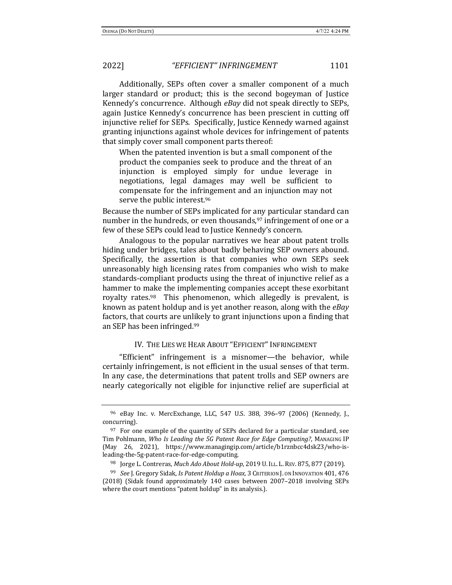Additionally, SEPs often cover a smaller component of a much larger standard or product; this is the second bogeyman of Justice Kennedy's concurrence. Although *eBay* did not speak directly to SEPs, again Justice Kennedy's concurrence has been prescient in cutting off injunctive relief for SEPs. Specifically, Justice Kennedy warned against granting injunctions against whole devices for infringement of patents that simply cover small component parts thereof:

When the patented invention is but a small component of the product the companies seek to produce and the threat of an injunction is employed simply for undue leverage in negotiations, legal damages may well be sufficient to compensate for the infringement and an injunction may not serve the public interest.<sup>96</sup>

Because the number of SEPs implicated for any particular standard can number in the hundreds, or even thousands,  $97$  infringement of one or a few of these SEPs could lead to Justice Kennedy's concern.

Analogous to the popular narratives we hear about patent trolls hiding under bridges, tales about badly behaving SEP owners abound. Specifically, the assertion is that companies who own SEPs seek unreasonably high licensing rates from companies who wish to make standards-compliant products using the threat of injunctive relief as a hammer to make the implementing companies accept these exorbitant royalty rates. $98$  This phenomenon, which allegedly is prevalent, is known as patent holdup and is yet another reason, along with the *eBay* factors, that courts are unlikely to grant injunctions upon a finding that an SEP has been infringed.<sup>99</sup>

### IV. THE LIES WE HEAR ABOUT "EFFICIENT" INFRINGEMENT

"Efficient" infringement is a misnomer—the behavior, while certainly infringement, is not efficient in the usual senses of that term. In any case, the determinations that patent trolls and SEP owners are nearly categorically not eligible for injunctive relief are superficial at

<sup>96</sup> eBay Inc. v. MercExchange, LLC, 547 U.S. 388, 396-97 (2006) (Kennedy, J., concurring).

 $97$  For one example of the quantity of SEPs declared for a particular standard, see Tim Pohlmann, *Who Is Leading the 5G Patent Race for Edge Computing?*, MANAGING IP (May 26, 2021), https://www.managingip.com/article/b1rznbcc4dsk23/who-isleading-the-5g-patent-race-for-edge-computing.

<sup>&</sup>lt;sup>98</sup> Jorge L. Contreras, *Much Ado About Hold-up*, 2019 U. ILL. L. REV. 875, 877 (2019).

<sup>&</sup>lt;sup>99</sup> See J. Gregory Sidak, *Is Patent Holdup a Hoax*, 3 CRITERION J. ON INNOVATION 401, 476 (2018) (Sidak found approximately 140 cases between 2007–2018 involving SEPs where the court mentions "patent holdup" in its analysis.).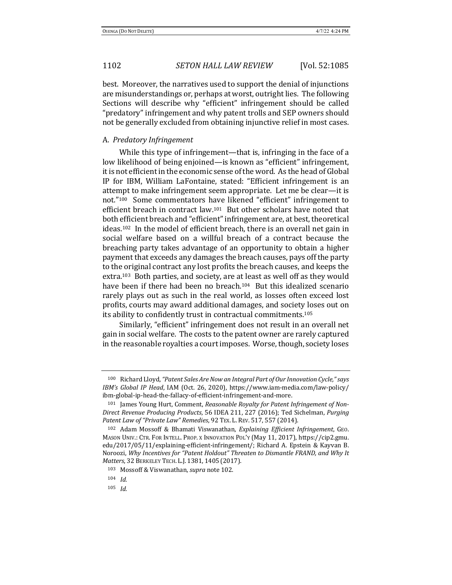best. Moreover, the narratives used to support the denial of injunctions are misunderstandings or, perhaps at worst, outright lies. The following Sections will describe why "efficient" infringement should be called "predatory" infringement and why patent trolls and SEP owners should not be generally excluded from obtaining injunctive relief in most cases.

#### A. *Predatory Infringement*

While this type of infringement—that is, infringing in the face of a low likelihood of being enjoined—is known as "efficient" infringement, it is not efficient in the economic sense of the word. As the head of Global IP for IBM, William LaFontaine, stated: "Efficient infringement is an attempt to make infringement seem appropriate. Let me be clear—it is not."<sup>100</sup> Some commentators have likened "efficient" infringement to efficient breach in contract law.<sup>101</sup> But other scholars have noted that both efficient breach and "efficient" infringement are, at best, theoretical ideas.<sup>102</sup> In the model of efficient breach, there is an overall net gain in social welfare based on a willful breach of a contract because the breaching party takes advantage of an opportunity to obtain a higher payment that exceeds any damages the breach causes, pays off the party to the original contract any lost profits the breach causes, and keeps the extra.<sup>103</sup> Both parties, and society, are at least as well off as they would have been if there had been no breach.<sup>104</sup> But this idealized scenario rarely plays out as such in the real world, as losses often exceed lost profits, courts may award additional damages, and society loses out on its ability to confidently trust in contractual commitments.<sup>105</sup>

Similarly, "efficient" infringement does not result in an overall net gain in social welfare. The costs to the patent owner are rarely captured in the reasonable royalties a court imposes. Worse, though, society loses

<sup>100</sup> Richard Lloyd, "Patent Sales Are Now an Integral Part of Our Innovation Cycle," says *IBM's Global IP Head*, IAM (Oct. 26, 2020), https://www.iam-media.com/law-policy/ ibm-global-ip-head-the-fallacy-of-efficient-infringement-and-more.

<sup>&</sup>lt;sup>101</sup> James Young Hurt, Comment, *Reasonable Royalty for Patent Infringement of Non-Direct Revenue Producing Products*, 56 IDEA 211, 227 (2016); Ted Sichelman, *Purging Patent Law of "Private Law" Remedies*, 92 TEX. L. REV. 517, 557 (2014).

<sup>&</sup>lt;sup>102</sup> Adam Mossoff & Bhamati Viswanathan, *Explaining Efficient Infringement*, GEO. MASON UNIV.: CTR. FOR INTELL. PROP. X INNOVATION POL'Y (May 11, 2017), https://cip2.gmu. edu/2017/05/11/explaining-efficient-infringement/; Richard A. Epstein & Kayvan B. Noroozi, Why Incentives for "Patent Holdout" Threaten to Dismantle FRAND, and Why It *Matters*, 32 BERKELEY TECH. L.J. 1381, 1405 (2017).

<sup>103</sup> Mossoff & Viswanathan, *supra* note 102.

<sup>104</sup> *Id.*

<sup>105</sup> *Id.*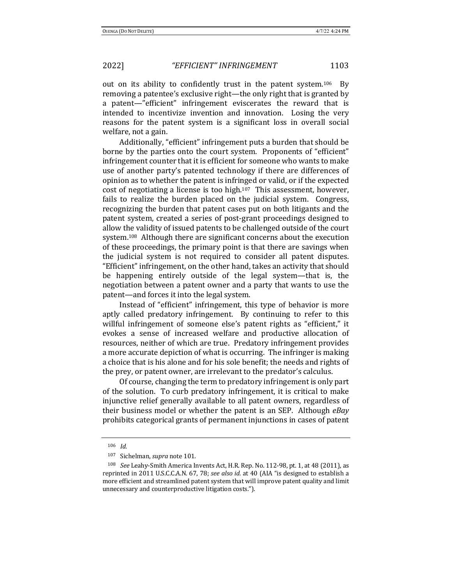out on its ability to confidently trust in the patent system.<sup>106</sup> By removing a patentee's exclusive right—the only right that is granted by a patent—"efficient" infringement eviscerates the reward that is intended to incentivize invention and innovation. Losing the very reasons for the patent system is a significant loss in overall social welfare, not a gain.

Additionally, "efficient" infringement puts a burden that should be borne by the parties onto the court system. Proponents of "efficient" infringement counter that it is efficient for someone who wants to make use of another party's patented technology if there are differences of opinion as to whether the patent is infringed or valid, or if the expected cost of negotiating a license is too high.<sup>107</sup> This assessment, however, fails to realize the burden placed on the judicial system. Congress, recognizing the burden that patent cases put on both litigants and the patent system, created a series of post-grant proceedings designed to allow the validity of issued patents to be challenged outside of the court system.<sup>108</sup> Although there are significant concerns about the execution of these proceedings, the primary point is that there are savings when the judicial system is not required to consider all patent disputes. "Efficient" infringement, on the other hand, takes an activity that should be happening entirely outside of the legal system—that is, the negotiation between a patent owner and a party that wants to use the patent—and forces it into the legal system.

Instead of "efficient" infringement, this type of behavior is more aptly called predatory infringement. By continuing to refer to this willful infringement of someone else's patent rights as "efficient," it evokes a sense of increased welfare and productive allocation of resources, neither of which are true. Predatory infringement provides a more accurate depiction of what is occurring. The infringer is making a choice that is his alone and for his sole benefit; the needs and rights of the prey, or patent owner, are irrelevant to the predator's calculus.

Of course, changing the term to predatory infringement is only part of the solution. To curb predatory infringement, it is critical to make injunctive relief generally available to all patent owners, regardless of their business model or whether the patent is an SEP. Although eBay prohibits categorical grants of permanent injunctions in cases of patent

<sup>106</sup> *Id.*

<sup>107</sup> Sichelman, *supra* note 101.

<sup>&</sup>lt;sup>108</sup> *See* Leahy-Smith America Invents Act, H.R. Rep. No. 112-98, pt. 1, at 48 (2011), as reprinted in 2011 U.S.C.C.A.N. 67, 78; *see also id.* at 40 (AIA "is designed to establish a more efficient and streamlined patent system that will improve patent quality and limit unnecessary and counterproductive litigation costs.").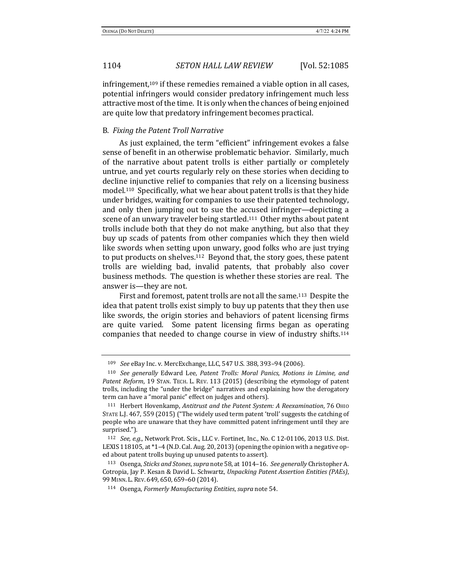infringement, $109$  if these remedies remained a viable option in all cases, potential infringers would consider predatory infringement much less attractive most of the time. It is only when the chances of being enjoined are quite low that predatory infringement becomes practical.

### B. *Fixing the Patent Troll Narrative*

As just explained, the term "efficient" infringement evokes a false sense of benefit in an otherwise problematic behavior. Similarly, much of the narrative about patent trolls is either partially or completely untrue, and yet courts regularly rely on these stories when deciding to decline injunctive relief to companies that rely on a licensing business model.<sup>110</sup> Specifically, what we hear about patent trolls is that they hide under bridges, waiting for companies to use their patented technology, and only then jumping out to sue the accused infringer-depicting a scene of an unwary traveler being startled.<sup>111</sup> Other myths about patent trolls include both that they do not make anything, but also that they buy up scads of patents from other companies which they then wield like swords when setting upon unwary, good folks who are just trying to put products on shelves.<sup>112</sup> Beyond that, the story goes, these patent trolls are wielding bad, invalid patents, that probably also cover business methods. The question is whether these stories are real. The answer is—they are not.

First and foremost, patent trolls are not all the same.<sup>113</sup> Despite the idea that patent trolls exist simply to buy up patents that they then use like swords, the origin stories and behaviors of patent licensing firms are quite varied. Some patent licensing firms began as operating companies that needed to change course in view of industry shifts.<sup>114</sup>

<sup>&</sup>lt;sup>109</sup> *See* eBay Inc. v. MercExchange, LLC, 547 U.S. 388, 393-94 (2006).

<sup>&</sup>lt;sup>110</sup> See generally Edward Lee, Patent Trolls: Moral Panics, Motions in Limine, and Patent Reform, 19 STAN. TECH. L. REV. 113 (2015) (describing the etymology of patent trolls, including the "under the bridge" narratives and explaining how the derogatory term can have a "moral panic" effect on judges and others).

<sup>111</sup> Herbert Hovenkamp, *Antitrust and the Patent System: A Reexamination*, 76 OHIO STATE L.J. 467, 559 (2015) ("The widely used term patent 'troll' suggests the catching of people who are unaware that they have committed patent infringement until they are surprised.").

<sup>&</sup>lt;sup>112</sup> *See, e.g.*, Network Prot. Scis., LLC v. Fortinet, Inc., No. C 12-01106, 2013 U.S. Dist. LEXIS 118105, at  $*1-4$  (N.D. Cal. Aug. 20, 2013) (opening the opinion with a negative oped about patent trolls buying up unused patents to assert).

<sup>113</sup> Osenga, *Sticks and Stones*, *supra* note 58, at 1014–16. See generally Christopher A. Cotropia, Jay P. Kesan & David L. Schwartz, *Unpacking Patent Assertion Entities (PAEs)*, 99 MINN. L. REV. 649, 650, 659–60 (2014).

<sup>114</sup> Osenga, *Formerly Manufacturing Entities*, *supra* note 54.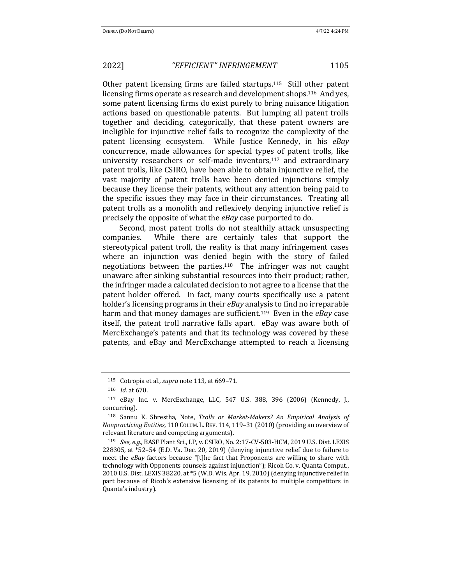Other patent licensing firms are failed startups.<sup>115</sup> Still other patent licensing firms operate as research and development shops.<sup>116</sup> And yes, some patent licensing firms do exist purely to bring nuisance litigation actions based on questionable patents. But lumping all patent trolls together and deciding, categorically, that these patent owners are ineligible for injunctive relief fails to recognize the complexity of the patent licensing ecosystem. While Justice Kennedy, in his eBay concurrence, made allowances for special types of patent trolls, like university researchers or self-made inventors, $117$  and extraordinary patent trolls, like CSIRO, have been able to obtain injunctive relief, the vast majority of patent trolls have been denied injunctions simply because they license their patents, without any attention being paid to the specific issues they may face in their circumstances. Treating all patent trolls as a monolith and reflexively denying injunctive relief is precisely the opposite of what the *eBay* case purported to do.

Second, most patent trolls do not stealthily attack unsuspecting companies. While there are certainly tales that support the stereotypical patent troll, the reality is that many infringement cases where an injunction was denied begin with the story of failed negotiations between the parties.<sup>118</sup> The infringer was not caught unaware after sinking substantial resources into their product; rather, the infringer made a calculated decision to not agree to a license that the patent holder offered. In fact, many courts specifically use a patent holder's licensing programs in their *eBay* analysis to find no irreparable harm and that money damages are sufficient.<sup>119</sup> Even in the *eBay* case itself, the patent troll narrative falls apart. eBay was aware both of MercExchange's patents and that its technology was covered by these patents, and eBay and MercExchange attempted to reach a licensing

<sup>&</sup>lt;sup>115</sup> Cotropia et al., *supra* note 113, at 669-71.

<sup>116</sup> *Id.* at 670.

 $117$  eBay Inc. v. MercExchange, LLC, 547 U.S. 388, 396 (2006) (Kennedy, J., concurring).

<sup>&</sup>lt;sup>118</sup> Sannu K. Shrestha, Note, *Trolls or Market-Makers? An Empirical Analysis of Nonpracticing Entities*, 110 COLUM. L. REV. 114, 119–31 (2010) (providing an overview of relevant literature and competing arguments).

<sup>&</sup>lt;sup>119</sup> *See, e.g.*, BASF Plant Sci., LP, v. CSIRO, No. 2:17-CV-503-HCM, 2019 U.S. Dist. LEXIS 228305, at  $*52-54$  (E.D. Va. Dec. 20, 2019) (denying injunctive relief due to failure to meet the *eBay* factors because "[t]he fact that Proponents are willing to share with technology with Opponents counsels against injunction"); Ricoh Co. v. Quanta Comput., 2010 U.S. Dist. LEXIS 38220, at  $*5$  (W.D. Wis. Apr. 19, 2010) (denying injunctive relief in part because of Ricoh's extensive licensing of its patents to multiple competitors in Quanta's industry).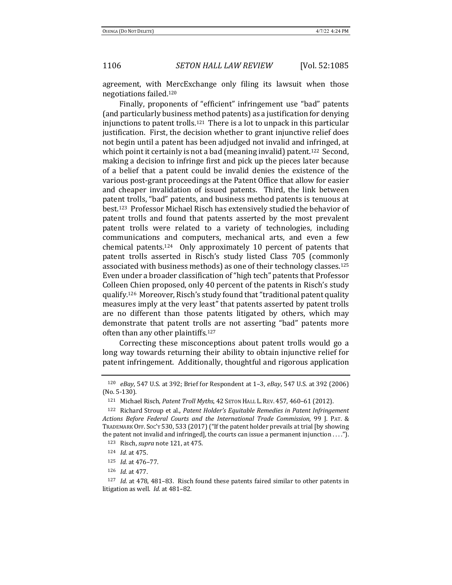agreement, with MercExchange only filing its lawsuit when those negotiations failed.120

Finally, proponents of "efficient" infringement use "bad" patents (and particularly business method patents) as a justification for denying injunctions to patent trolls.<sup>121</sup> There is a lot to unpack in this particular justification. First, the decision whether to grant injunctive relief does not begin until a patent has been adjudged not invalid and infringed, at which point it certainly is not a bad (meaning invalid) patent.<sup>122</sup> Second, making a decision to infringe first and pick up the pieces later because of a belief that a patent could be invalid denies the existence of the various post-grant proceedings at the Patent Office that allow for easier and cheaper invalidation of issued patents. Third, the link between patent trolls, "bad" patents, and business method patents is tenuous at best.<sup>123</sup> Professor Michael Risch has extensively studied the behavior of patent trolls and found that patents asserted by the most prevalent patent trolls were related to a variety of technologies, including communications and computers, mechanical arts, and even a few chemical patents.<sup>124</sup> Only approximately 10 percent of patents that patent trolls asserted in Risch's study listed Class 705 (commonly associated with business methods) as one of their technology classes.<sup>125</sup> Even under a broader classification of "high tech" patents that Professor Colleen Chien proposed, only 40 percent of the patents in Risch's study qualify.<sup>126</sup> Moreover, Risch's study found that "traditional patent quality measures imply at the very least" that patents asserted by patent trolls are no different than those patents litigated by others, which may demonstrate that patent trolls are not asserting "bad" patents more often than any other plaintiffs.<sup>127</sup>

Correcting these misconceptions about patent trolls would go a long way towards returning their ability to obtain injunctive relief for patent infringement. Additionally, thoughtful and rigorous application

<sup>120</sup> *eBay*, 547 U.S. at 392; Brief for Respondent at 1–3, *eBay*, 547 U.S. at 392 (2006) (No. 5-130).

<sup>121</sup> Michael Risch, Patent Troll Myths, 42 SETON HALL L. REV. 457, 460-61 (2012).

<sup>&</sup>lt;sup>122</sup> Richard Stroup et al., *Patent Holder's Equitable Remedies in Patent Infringement* Actions Before Federal Courts and the International Trade Commission, 99 J. PAT. & TRADEMARK OFF. Soc'y 530, 533 (2017) ("If the patent holder prevails at trial [by showing the patent not invalid and infringed], the courts can issue a permanent injunction  $\dots$ .").

<sup>123</sup> Risch, *supra* note 121, at 475.

<sup>124</sup> *Id.* at 475.

<sup>125</sup> *Id.* at 476-77.

<sup>126</sup> *Id.* at 477.

<sup>&</sup>lt;sup>127</sup> *Id.* at 478, 481–83. Risch found these patents faired similar to other patents in litigation as well. *Id.* at 481-82.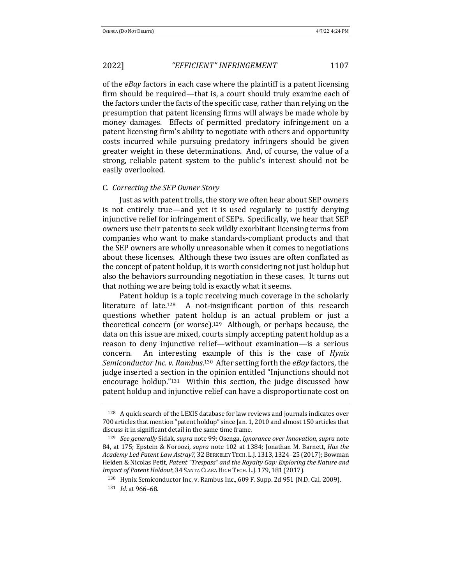of the *eBay* factors in each case where the plaintiff is a patent licensing firm should be required—that is, a court should truly examine each of the factors under the facts of the specific case, rather than relying on the presumption that patent licensing firms will always be made whole by money damages. Effects of permitted predatory infringement on a patent licensing firm's ability to negotiate with others and opportunity costs incurred while pursuing predatory infringers should be given greater weight in these determinations. And, of course, the value of a strong, reliable patent system to the public's interest should not be easily overlooked.

### C. *Correcting the SEP Owner Story*

Just as with patent trolls, the story we often hear about SEP owners is not entirely true—and yet it is used regularly to justify denying injunctive relief for infringement of SEPs. Specifically, we hear that SEP owners use their patents to seek wildly exorbitant licensing terms from companies who want to make standards-compliant products and that the SEP owners are wholly unreasonable when it comes to negotiations about these licenses. Although these two issues are often conflated as the concept of patent holdup, it is worth considering not just holdup but also the behaviors surrounding negotiation in these cases. It turns out that nothing we are being told is exactly what it seems.

Patent holdup is a topic receiving much coverage in the scholarly literature of late.<sup>128</sup> A not-insignificant portion of this research questions whether patent holdup is an actual problem or just a theoretical concern (or worse).<sup>129</sup> Although, or perhaps because, the data on this issue are mixed, courts simply accepting patent holdup as a reason to deny injunctive relief—without examination—is a serious concern. An interesting example of this is the case of *Hynix* Semiconductor Inc. v. Rambus.<sup>130</sup> After setting forth the eBay factors, the judge inserted a section in the opinion entitled "Injunctions should not encourage holdup." $131$  Within this section, the judge discussed how patent holdup and injunctive relief can have a disproportionate cost on

 $128$  A quick search of the LEXIS database for law reviews and journals indicates over 700 articles that mention "patent holdup" since Jan. 1, 2010 and almost 150 articles that discuss it in significant detail in the same time frame.

<sup>129</sup> *See generally* Sidak, *supra* note 99; Osenga, *Ignorance over Innovation*, *supra* note 84, at 175; Epstein & Noroozi, *supra* note 102 at 1384; Jonathan M. Barnett, *Has the Academy Led Patent Law Astray?*, 32 BERKELEY TECH. L.J. 1313, 1324–25 (2017); Bowman Heiden & Nicolas Petit, Patent "Trespass" and the Royalty Gap: Exploring the Nature and *Impact of Patent Holdout*, 34 SANTA CLARA HIGH TECH. L.J. 179, 181 (2017).

<sup>&</sup>lt;sup>130</sup> Hynix Semiconductor Inc. v. Rambus Inc., 609 F. Supp. 2d 951 (N.D. Cal. 2009).

<sup>131</sup> *Id.* at 966-68.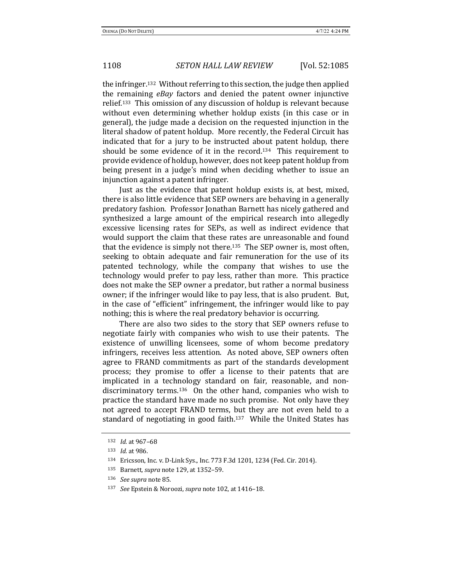the infringer.<sup>132</sup> Without referring to this section, the judge then applied the remaining *eBay* factors and denied the patent owner injunctive relief.<sup>133</sup> This omission of any discussion of holdup is relevant because without even determining whether holdup exists (in this case or in general), the judge made a decision on the requested injunction in the literal shadow of patent holdup. More recently, the Federal Circuit has indicated that for a jury to be instructed about patent holdup, there should be some evidence of it in the record.<sup>134</sup> This requirement to provide evidence of holdup, however, does not keep patent holdup from being present in a judge's mind when deciding whether to issue an injunction against a patent infringer.

Just as the evidence that patent holdup exists is, at best, mixed, there is also little evidence that SEP owners are behaving in a generally predatory fashion. Professor Jonathan Barnett has nicely gathered and synthesized a large amount of the empirical research into allegedly excessive licensing rates for SEPs, as well as indirect evidence that would support the claim that these rates are unreasonable and found that the evidence is simply not there.<sup>135</sup> The SEP owner is, most often, seeking to obtain adequate and fair remuneration for the use of its patented technology, while the company that wishes to use the technology would prefer to pay less, rather than more. This practice does not make the SEP owner a predator, but rather a normal business owner; if the infringer would like to pay less, that is also prudent. But, in the case of "efficient" infringement, the infringer would like to pay nothing; this is where the real predatory behavior is occurring.

There are also two sides to the story that SEP owners refuse to negotiate fairly with companies who wish to use their patents. The existence of unwilling licensees, some of whom become predatory infringers, receives less attention. As noted above, SEP owners often agree to FRAND commitments as part of the standards development process; they promise to offer a license to their patents that are implicated in a technology standard on fair, reasonable, and nondiscriminatory terms.<sup>136</sup> On the other hand, companies who wish to practice the standard have made no such promise. Not only have they not agreed to accept FRAND terms, but they are not even held to a standard of negotiating in good faith.<sup>137</sup> While the United States has

<sup>137</sup> *See* Epstein & Noroozi, *supra* note 102, at 1416-18.

<sup>132</sup> *Id.* at 967-68

<sup>133</sup> *Id.* at 986.

<sup>134</sup> Ericsson, Inc. v. D-Link Sys., Inc. 773 F.3d 1201, 1234 (Fed. Cir. 2014).

<sup>135</sup> Barnett, *supra* note 129, at 1352-59.

<sup>136</sup> *See supra* note 85.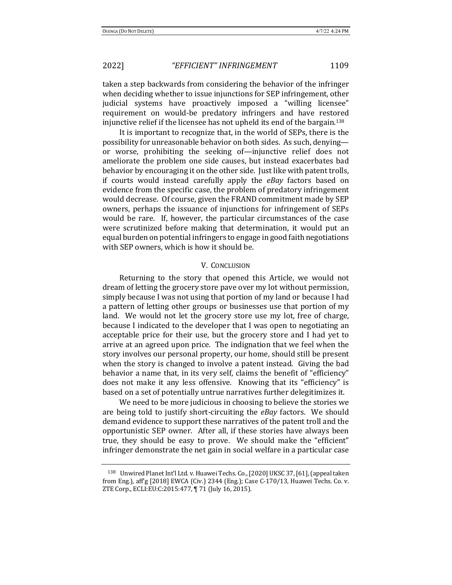taken a step backwards from considering the behavior of the infringer when deciding whether to issue injunctions for SEP infringement, other judicial systems have proactively imposed a "willing licensee" requirement on would-be predatory infringers and have restored injunctive relief if the licensee has not upheld its end of the bargain.<sup>138</sup>

It is important to recognize that, in the world of SEPs, there is the possibility for unreasonable behavior on both sides. As such, denyingor worse, prohibiting the seeking of—injunctive relief does not ameliorate the problem one side causes, but instead exacerbates bad behavior by encouraging it on the other side. Just like with patent trolls, if courts would instead carefully apply the *eBay* factors based on evidence from the specific case, the problem of predatory infringement would decrease. Of course, given the FRAND commitment made by SEP owners, perhaps the issuance of injunctions for infringement of SEPs would be rare. If, however, the particular circumstances of the case were scrutinized before making that determination, it would put an equal burden on potential infringers to engage in good faith negotiations with SEP owners, which is how it should be.

#### **V. CONCLUSION**

Returning to the story that opened this Article, we would not dream of letting the grocery store pave over my lot without permission, simply because I was not using that portion of my land or because I had a pattern of letting other groups or businesses use that portion of my land. We would not let the grocery store use my lot, free of charge, because I indicated to the developer that I was open to negotiating an acceptable price for their use, but the grocery store and I had yet to arrive at an agreed upon price. The indignation that we feel when the story involves our personal property, our home, should still be present when the story is changed to involve a patent instead. Giving the bad behavior a name that, in its very self, claims the benefit of "efficiency" does not make it any less offensive. Knowing that its "efficiency" is based on a set of potentially untrue narratives further delegitimizes it.

We need to be more judicious in choosing to believe the stories we are being told to justify short-circuiting the *eBay* factors. We should demand evidence to support these narratives of the patent troll and the opportunistic SEP owner. After all, if these stories have always been true, they should be easy to prove. We should make the "efficient" infringer demonstrate the net gain in social welfare in a particular case

<sup>138</sup> Unwired Planet Int'l Ltd. v. Huawei Techs. Co., [2020] UKSC 37, [61], (appeal taken from Eng.), aff'g  $[2018]$  EWCA  $(Civ)$  2344  $(Eng)$ ; Case C-170/13, Huawei Techs. Co. v. ZTE Corp., ECLI:EU:C:2015:477, ¶ 71 (July 16, 2015).